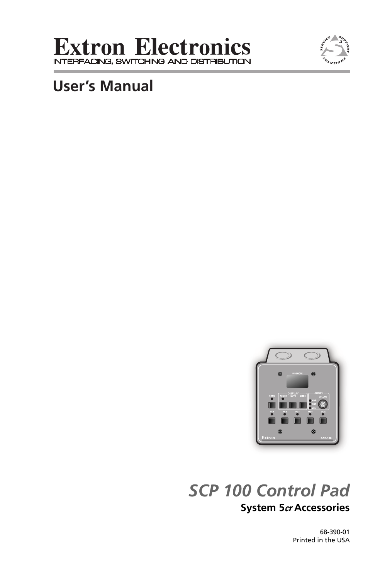



# **User's Manual**



# *SCP 100 Control Pad* **System 5**cr **Accessories**

68-390-01 Printed in the USA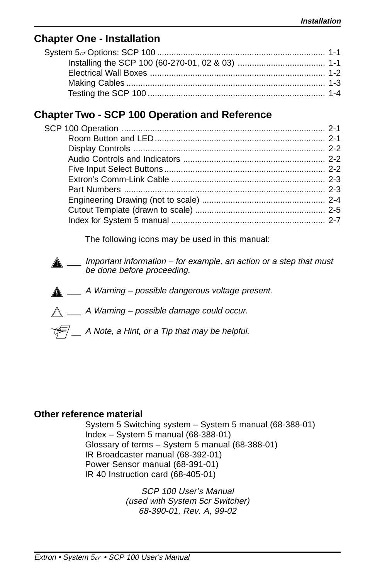### **Chapter One - Installation**

### **Chapter Two - SCP 100 Operation and Reference**

The following icons may be used in this manual:

- $\triangle$  \_\_\_ Important information for example, an action or a step that must be done before proceeding.
- $\triangle$  \_\_\_ A Warning possible dangerous voltage present.
- $\bigwedge$  \_\_\_ A Warning possible damage could occur.
- $\sqrt{\epsilon}$  A Note, a Hint, or a Tip that may be helpful.

### **Other reference material**

System 5 Switching system – System 5 manual (68-388-01) Index – System 5 manual  $(68-388-01)$ Glossary of terms – System 5 manual (68-388-01) IR Broadcaster manual (68-392-01) Power Sensor manual (68-391-01) IR 40 Instruction card (68-405-01)

> SCP 100 User's Manual (used with System 5cr Switcher) 68-390-01, Rev. A, 99-02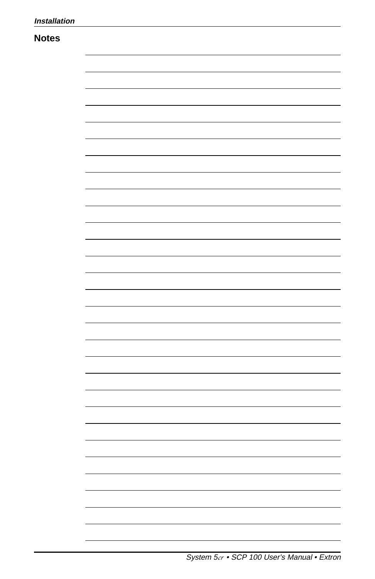### **Notes**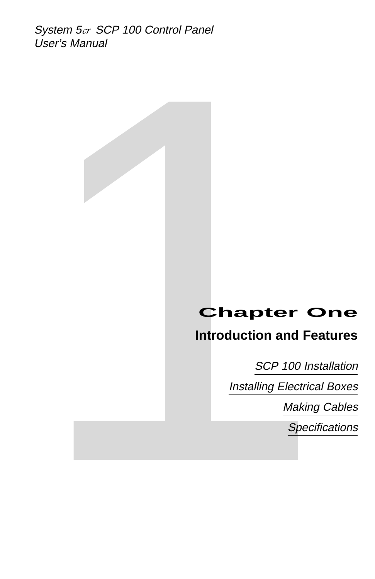System 5cr SCP 100 Control Panel User's Manual

# **Introduction and Features**

User's Manual<br> **Chapter One**<br>
Introduction and Features<br>
SCP 100 Installation<br>
Installing Electrical Boxes<br>
Making Cables<br>
Specifications<br>
Specifications SCP 100 Installation Installing Electrical Boxes Making Cables

**Specifications**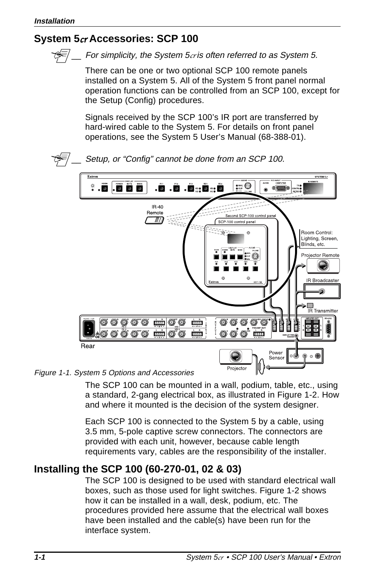## **System 5**cr **Accessories: SCP 100**



For simplicity, the System  $5c$ r is often referred to as System 5.

There can be one or two optional SCP 100 remote panels installed on a System 5. All of the System 5 front panel normal operation functions can be controlled from an SCP 100, except for the Setup (Config) procedures.

Signals received by the SCP 100's IR port are transferred by hard-wired cable to the System 5. For details on front panel operations, see the System 5 User's Manual (68-388-01).



### Figure 1-1. System 5 Options and Accessories

The SCP 100 can be mounted in a wall, podium, table, etc., using a standard, 2-gang electrical box, as illustrated in Figure 1-2. How and where it mounted is the decision of the system designer.

Each SCP 100 is connected to the System 5 by a cable, using 3.5 mm, 5-pole captive screw connectors. The connectors are provided with each unit, however, because cable length requirements vary, cables are the responsibility of the installer.

# **Installing the SCP 100 (60-270-01, 02 & 03)**

The SCP 100 is designed to be used with standard electrical wall boxes, such as those used for light switches. Figure 1-2 shows how it can be installed in a wall, desk, podium, etc. The procedures provided here assume that the electrical wall boxes have been installed and the cable(s) have been run for the interface system.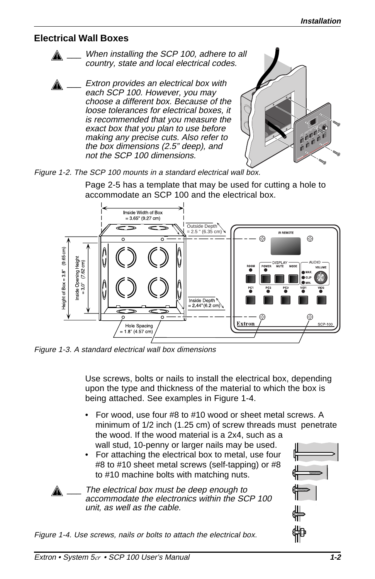### **Electrical Wall Boxes**



Extron provides an electrical box with each SCP 100. However, you may choose a different box. Because of the loose tolerances for electrical boxes, it is recommended that you measure the exact box that you plan to use before making any precise cuts. Also refer to the box dimensions (2.5" deep), and not the SCP 100 dimensions.



### Figure 1-2. The SCP 100 mounts in a standard electrical wall box.

Page 2-5 has a template that may be used for cutting a hole to accommodate an SCP 100 and the electrical box.



Figure 1-3. A standard electrical wall box dimensions

Use screws, bolts or nails to install the electrical box, depending upon the type and thickness of the material to which the box is being attached. See examples in Figure 1-4.

- For wood, use four #8 to #10 wood or sheet metal screws. A minimum of 1/2 inch (1.25 cm) of screw threads must penetrate the wood. If the wood material is a 2x4, such as a wall stud, 10-penny or larger nails may be used.
- For attaching the electrical box to metal, use four #8 to #10 sheet metal screws (self-tapping) or #8 to #10 machine bolts with matching nuts.

The electrical box must be deep enough to accommodate the electronics within the SCP 100 unit, as well as the cable.

Figure 1-4. Use screws, nails or bolts to attach the electrical box.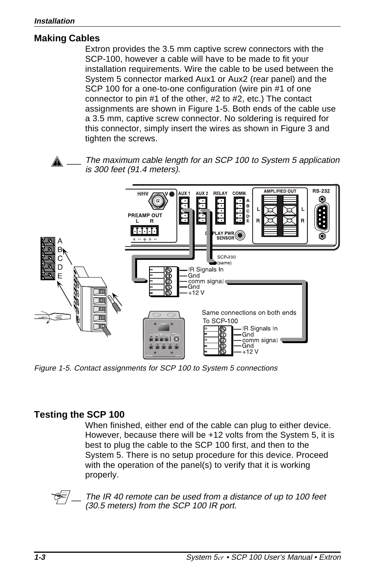### **Making Cables**

Extron provides the 3.5 mm captive screw connectors with the SCP-100, however a cable will have to be made to fit your installation requirements. Wire the cable to be used between the System 5 connector marked Aux1 or Aux2 (rear panel) and the SCP 100 for a one-to-one configuration (wire pin #1 of one connector to pin #1 of the other, #2 to #2, etc.) The contact assignments are shown in Figure 1-5. Both ends of the cable use a 3.5 mm, captive screw connector. No soldering is required for this connector, simply insert the wires as shown in Figure 3 and tighten the screws.

The maximum cable length for an SCP 100 to System 5 application is 300 feet (91.4 meters).



Figure 1-5. Contact assignments for SCP 100 to System 5 connections

### **Testing the SCP 100**

When finished, either end of the cable can plug to either device. However, because there will be +12 volts from the System 5, it is best to plug the cable to the SCP 100 first, and then to the System 5. There is no setup procedure for this device. Proceed with the operation of the panel(s) to verify that it is working properly.



The IR 40 remote can be used from a distance of up to 100 feet (30.5 meters) from the SCP 100 IR port.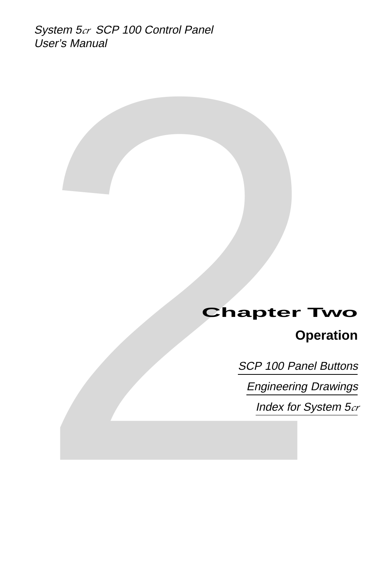System 5cr SCP 100 Control Panel User's Manual

# User's Manual<br>
Chapter Two<br>
Operation<br>
SCP 100 Panel Buttons<br>
<u>Engineering Drawings</u><br>
Index for System 5.a **Operation**

SCP 100 Panel Buttons

Engineering Drawings

Index for System 5cr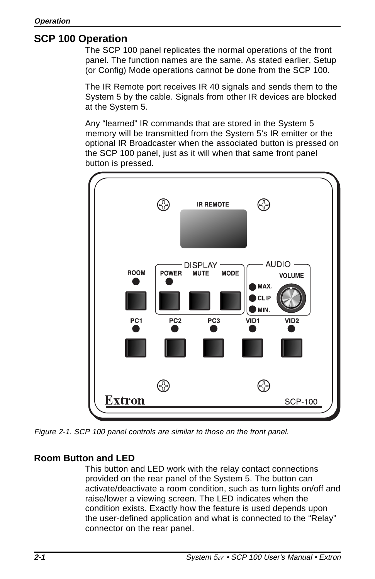### **SCP 100 Operation**

The SCP 100 panel replicates the normal operations of the front panel. The function names are the same. As stated earlier, Setup (or Config) Mode operations cannot be done from the SCP 100.

The IR Remote port receives IR 40 signals and sends them to the System 5 by the cable. Signals from other IR devices are blocked at the System 5.

Any "learned" IR commands that are stored in the System 5 memory will be transmitted from the System 5's IR emitter or the optional IR Broadcaster when the associated button is pressed on the SCP 100 panel, just as it will when that same front panel button is pressed.



Figure 2-1. SCP 100 panel controls are similar to those on the front panel.

### **Room Button and LED**

This button and LED work with the relay contact connections provided on the rear panel of the System 5. The button can activate/deactivate a room condition, such as turn lights on/off and raise/lower a viewing screen. The LED indicates when the condition exists. Exactly how the feature is used depends upon the user-defined application and what is connected to the "Relay" connector on the rear panel.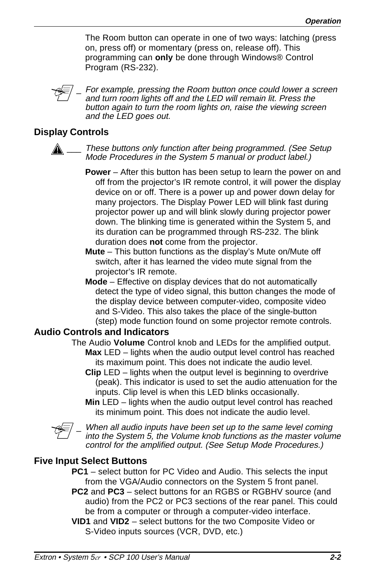The Room button can operate in one of two ways: latching (press on, press off) or momentary (press on, release off). This programming can **only** be done through Windows® Control Program (RS-232).



For example, pressing the Room button once could lower a screen and turn room lights off and the LED will remain lit. Press the button again to turn the room lights on, raise the viewing screen and the LED goes out.

### **Display Controls**

These buttons only function after being programmed. (See Setup Mode Procedures in the System 5 manual or product label.)

- **Power** After this button has been setup to learn the power on and off from the projector's IR remote control, it will power the display device on or off. There is a power up and power down delay for many projectors. The Display Power LED will blink fast during projector power up and will blink slowly during projector power down. The blinking time is generated within the System 5, and its duration can be programmed through RS-232. The blink duration does **not** come from the projector.
- **Mute**  This button functions as the display's Mute on/Mute off switch, after it has learned the video mute signal from the projector's IR remote.
- **Mode**  Effective on display devices that do not automatically detect the type of video signal, this button changes the mode of the display device between computer-video, composite video and S-Video. This also takes the place of the single-button (step) mode function found on some projector remote controls.

### **Audio Controls and Indicators**

- The Audio **Volume** Control knob and LEDs for the amplified output. **Max** LED – lights when the audio output level control has reached its maximum point. This does not indicate the audio level.
	- **Clip** LED lights when the output level is beginning to overdrive (peak). This indicator is used to set the audio attenuation for the inputs. Clip level is when this LED blinks occasionally.
	- **Min** LED lights when the audio output level control has reached its minimum point. This does not indicate the audio level.



When all audio inputs have been set up to the same level coming into the System 5, the Volume knob functions as the master volume control for the amplified output. (See Setup Mode Procedures.)

### **Five Input Select Buttons**

- **PC1** select button for PC Video and Audio. This selects the input from the VGA/Audio connectors on the System 5 front panel.
- **PC2** and **PC3**  select buttons for an RGBS or RGBHV source (and audio) from the PC2 or PC3 sections of the rear panel. This could be from a computer or through a computer-video interface.
- **VID1** and **VID2**  select buttons for the two Composite Video or S-Video inputs sources (VCR, DVD, etc.)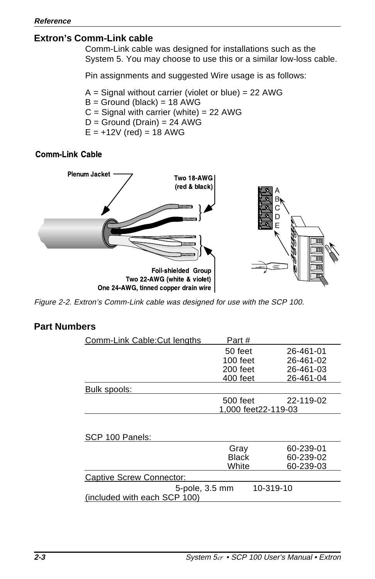### **Extron's Comm-Link cable**

Comm-Link cable was designed for installations such as the System 5. You may choose to use this or a similar low-loss cable.

Pin assignments and suggested Wire usage is as follows:

 $A =$  Signal without carrier (violet or blue) = 22 AWG  $B =$  Ground (black) = 18 AWG  $C =$  Signal with carrier (white) = 22 AWG  $D =$  Ground (Drain) = 24 AWG  $E = +12V$  (red) = 18 AWG

### **Comm-Link Cable**



Figure 2-2. Extron's Comm-Link cable was designed for use with the SCP 100.

### **Part Numbers**

| Comm-Link Cable: Cut lengths | Part #              |           |
|------------------------------|---------------------|-----------|
|                              | 50 feet             | 26-461-01 |
|                              | $100$ feet          | 26-461-02 |
|                              | 200 feet            | 26-461-03 |
|                              | 400 feet            | 26-461-04 |
| Bulk spools:                 |                     |           |
|                              | 500 feet            | 22-119-02 |
|                              | 1,000 feet22-119-03 |           |
| SCP 100 Panels:              |                     |           |
|                              | Gray                | 60-239-01 |
|                              | Black               | 60-239-02 |
|                              | White               | 60-239-03 |
| Captive Screw Connector:     |                     |           |
| 5-pole, 3.5 mm               |                     | 10-319-10 |
| (included with each SCP 100) |                     |           |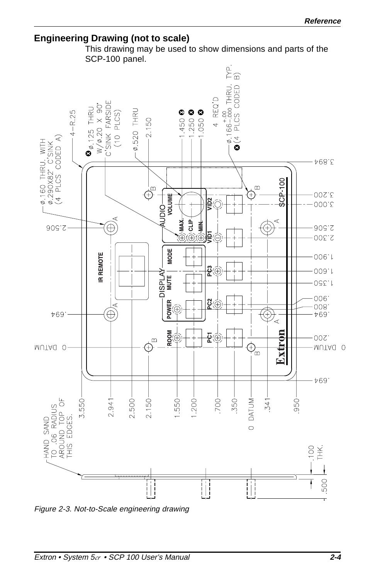### **Engineering Drawing (not to scale)**

This drawing may be used to show dimensions and parts of the SCP-100 panel.



Figure 2-3. Not-to-Scale engineering drawing